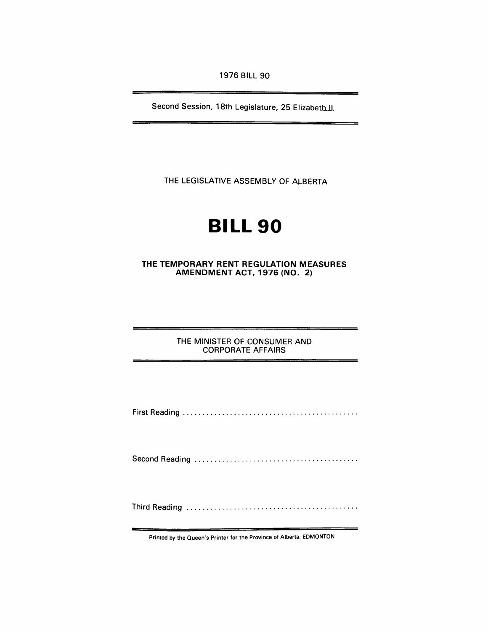1976 BILL 90

Second Session, 18th Legislature, 25 Elizabeth II.

THE LEGISLATIVE ASSEMBLY OF ALBERTA

# **BILL 90**

THE TEMPORARY RENT REGULATION MEASURES AMENDMENT ACT, 1976 (NO.2)

> THE MINISTER OF CONSUMER AND CORPORATE AFFAIRS

First Reading ............................................ .

Second Reading

Third Reading ........................................... .

Printed by the Oueen's Printer for the Province of Alberta, EDMONTON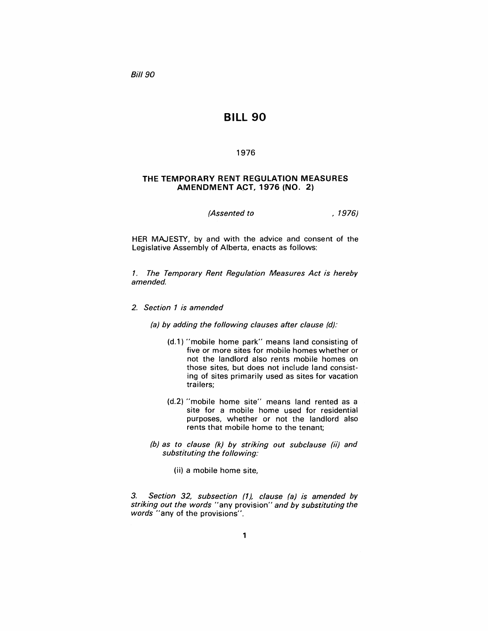**Bill 90** 

## BILL 90

#### 1976

#### THE TEMPORARY RENT REGULATION MEASURES AMENDMENT ACT, 1976 (NO.2)

(*Assented to* , 1976)

HER MAJESTY, by and with the advice and consent of the Legislative Assembly of Alberta, enacts as follows:

1. The Temporary Rent Regulation Measures Act is hereby amended.

2. Section 1 is amended

(a) by adding the following clauses after clause (d):

- (d.1) "mobile home park" means land consisting of five or more sites for mobile homes whether or not the landlord also rents mobile homes on those sites, but does not include land consisting of sites primarily used as sites for vacation trailers;
- (d.2) "mobile home site" means land rented as a site for a mobile home used for residential purposes, whether or not the landlord also rents that mobile home to the tenant;
- (b) as to clause (k) by striking out subclause (ii) and substituting the following:
	- (ii) a mobile home site,

3. Section 32, subsection (1), clause (a) is amended by striking out the words "any provision" and by substituting the words "any of the provisions".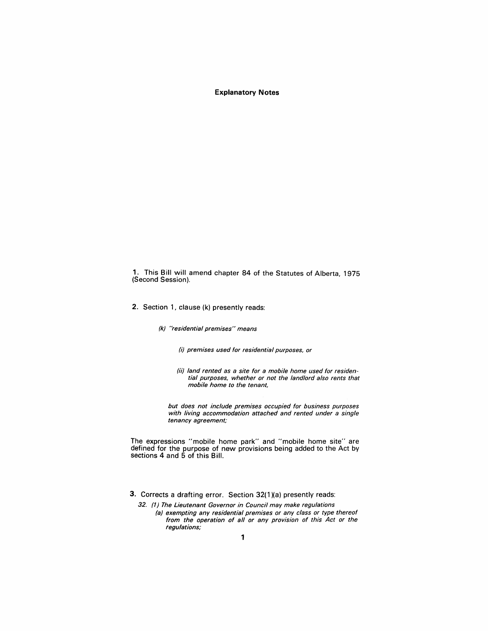**Explanatory Notes** 

1. This Bill will amend chapter 84 of the Statutes of Alberta, 1975 (Second Session).

2. Section 1, clause (k) presently reads:

(k) "residential premises" means

(i) premises used for residential purposes, or

(ii) land rented as a site for a mobile home used for residential purposes, whether or not the landlord also rents that mobile home to the tenant,

but does not include premises occupied for business purposes with living accommodation attached and rented under a single tenancy agreement;

The expressions "mobile home park" and "mobile home site" are defined for the purpose of new provisions being added to the Act by sections 4 and 5 of this Bill.

3. Corrects a drafting error. Section 32(1)(a) presently reads:

32. (1) The Lieutenant Governor in Council may make regulations (a) exempting any residential premises or any class or type thereof from the operation of all or any provision of this Act or the tegulations;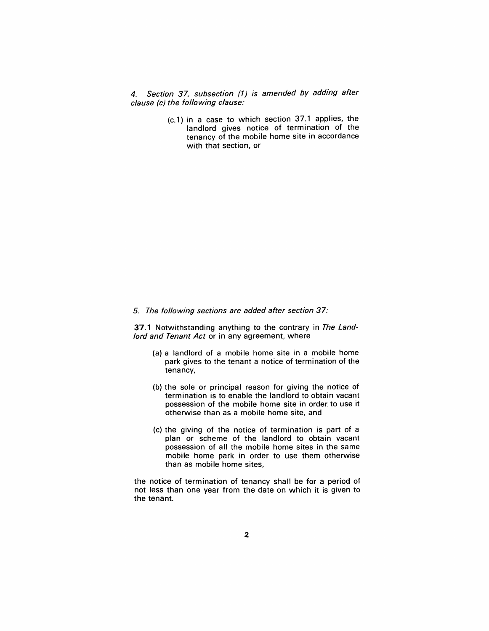4. Section 37, subsection (1) is amended by adding after clause (c) the following clause:

> (c.1) in a case to which section 37.1 applies, the landlord gives notice of termination of the tenancy of the mobile home site in accordance with that section, or

#### 5. The following sections are added after section 37:

37.1 Notwithstanding anything to the contrary in The Landlord and Tenant Act or in any agreement, where

- (a) a landlord of a mobile home site in a mobile home park gives to the tenant a notice of termination of the tenancy,
- (b) the sole or principal reason for giving the notice of termination is to enable the landlord to obtain vacant possession of the mobile home site in order to use it otherwise than as a mobile home site, and
- (c) the giving of the notice of termination is part of a plan or scheme of the landlord to obtain vacant possession of all the mobile home sites in the same mobile home park in order to use them otherwise than as mobile home sites,

the notice of termination of tenancy shall be for a period of not less than one year from the date on which it is given to the tenant.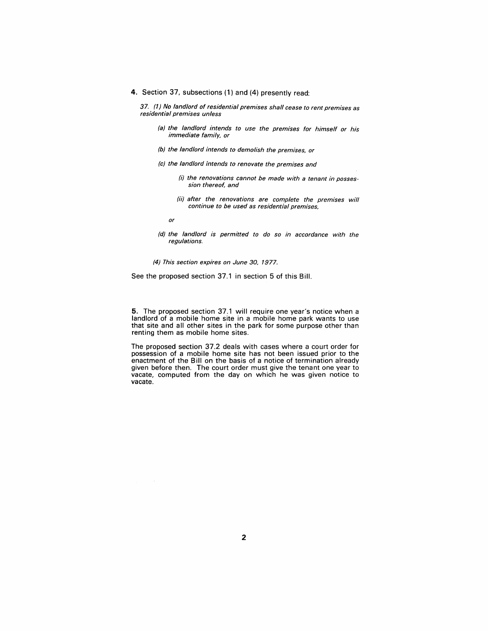4. Section 37, subsections (1) and (4) presently read:

37. (1) No landlord of residential premises shall cease to rent premises as residential premises unless

- (a) the landlord intends to use the premises for himself or his immediate family, or
- (b) the landlord intends to demolish the premises, or
- (c) the landlord intends to renovate the premises and
	- (i) the renovations cannot be made with a tenant in possession thereof, and
	- (ii) after the renovations are complete the premises will continue to be used as residential premises,

or

(d) the landlord is permitted to do so in accordance with the regulations.

(4) This section expires on June 30, 1977.

See the proposed section 37.1 in section 5 of this Bill.

5. The proposed section 37.1 will require one year's notice when a landlord of a mobile home site in a mobile home park wants to use that site and all other sites in the park for some purpose other than renting them as mobile home sites.

The proposed section 37.2 deals with cases where a court order for possession of a mobile home site has not been issued prior to the enactment of the Bill on the basis of a notice of termination already given before then. The court order must give the tenant one year to vacate, computed from the day on which he was given notice to vacate.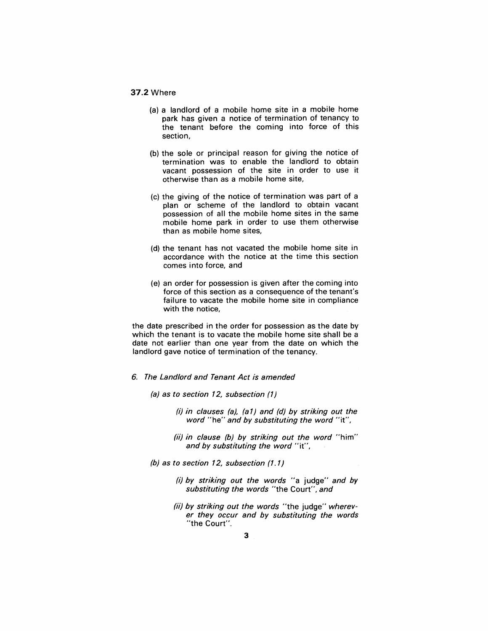### 37.2 Where

- (a) a landlord of a mobile home site in a mobile home park has given a notice of termination of tenancy to the tenant before the coming into force of this section,
- (b) the sole or principal reason for giving the notice of termination was to enable the landlord to obtain vacant possession of the site in order to use it otherwise than as a mobile home site,
- (c) the giving of the notice of termination was part of a plan or scheme of the landlord to obtain vacant possession of all the mobile home sites in the same mobile home park in order to use them otherwise than as mobile home sites,
- (d) the tenant has not vacated the mobile home site in accordance with the notice at the time this section comes into force, and
- (e) an order for possession is given after the coming into force of this section as a consequence of the tenant's failure to vacate the mobile home site in compliance with the notice,

the date prescribed in the order for possession as the date by which the tenant is to vacate the mobile home site shall be a date not earlier than one year from the date on which the landlord gave notice of termination of the tenancy.

- 6. The Landlord and Tenant Act is amended
	- (a) as to section 12, subsection (1)
		- (i) in clauses (a), (a 1) and (d) by striking out the word "he" and by substituting the word "it",
		- (ii) in clause (b) by striking out the word "him" and by substituting the word "it",
	- (b) as to section 12, subsection (1.1)
		- (i) by striking out the words "a judge" and by substituting the words "the Court", and
		- (ii) by striking out the words "the judge" wherever they occur and by substituting the words "the Court".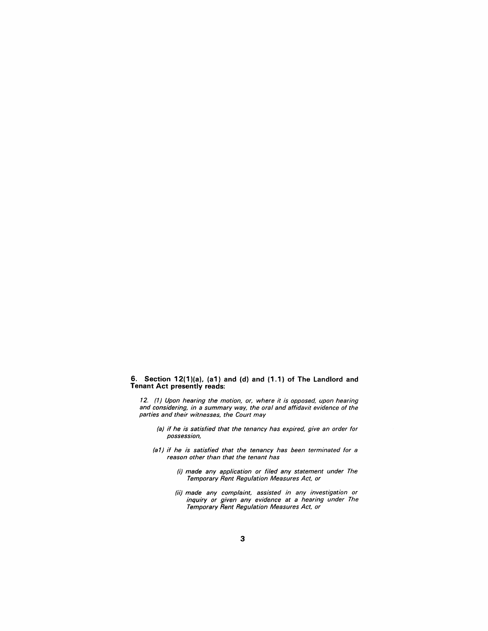#### **6. Section 12(1 )(a), (a1) and (d) and (1.1) of The Landlord and Tenant Act presently reads:**

12. (1) Upon hearing the motion, or, where it is opposed, upon hearing and considering, in a summary way, the oral and affidavit evidence of the parties and their witnesses, the Court may

- (a) if he is satisfied that the tenancy has expired, give an order for possession,
- (a1) if he is satisfied that the tenancy has been terminated for a reason other than that the tenant has
	- (i) made any application or filed any statement under The Temporary Rent Regulation Measures Act, or
	- (ii) made any complaint, assisted in any investigation or inquiry or given any evidence at a hearing under The Temporary Rent Regulation Measures Act, or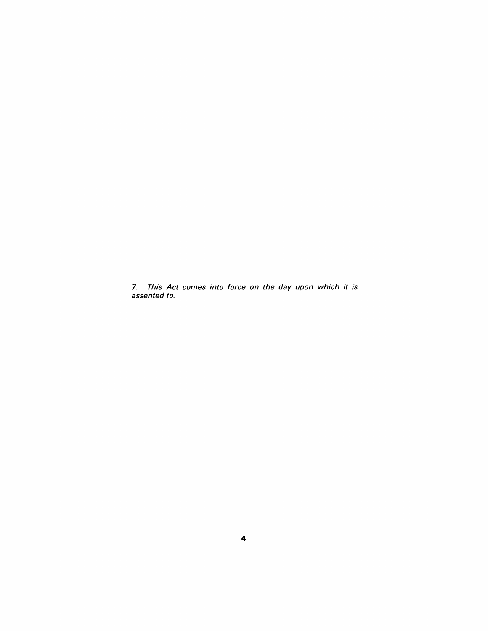7. This Act comes into force on the day upon which it is assented to.